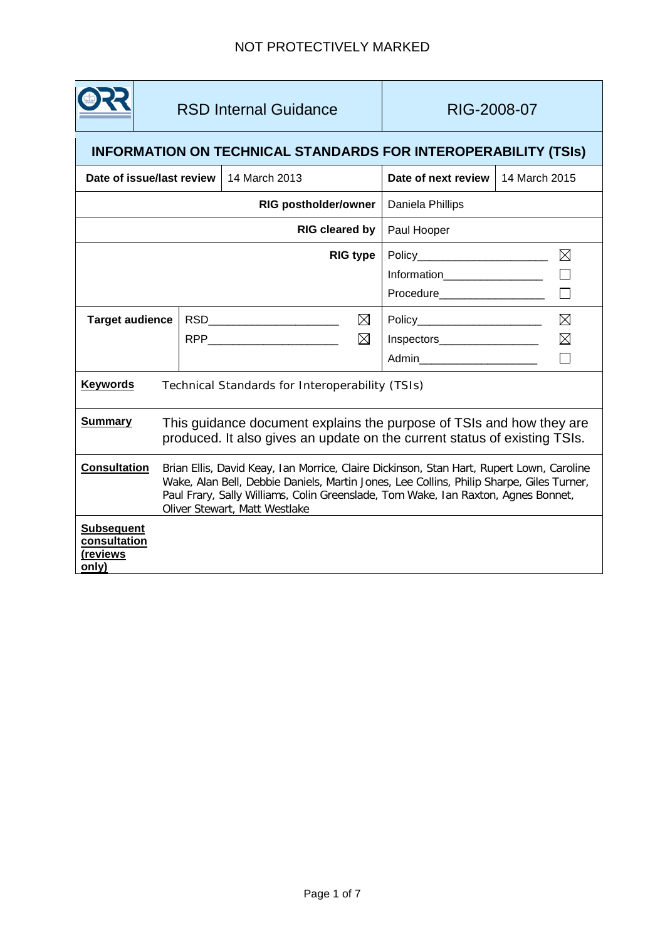

RSD Internal Guidance | RIG-2008-07

# **INFORMATION ON TECHNICAL STANDARDS FOR INTEROPERABILITY (TSIs)**

| Date of issue/last review                              |                                                                                                                                                                                                                                                                                                            | 14 March 2013                                 | Date of next review            | 14 March 2015 |
|--------------------------------------------------------|------------------------------------------------------------------------------------------------------------------------------------------------------------------------------------------------------------------------------------------------------------------------------------------------------------|-----------------------------------------------|--------------------------------|---------------|
| <b>RIG postholder/owner</b>                            |                                                                                                                                                                                                                                                                                                            |                                               | Daniela Phillips               |               |
| RIG cleared by                                         |                                                                                                                                                                                                                                                                                                            |                                               | Paul Hooper                    |               |
| <b>RIG type</b>                                        |                                                                                                                                                                                                                                                                                                            |                                               | $\boxtimes$                    |               |
|                                                        |                                                                                                                                                                                                                                                                                                            |                                               | Information___________________ |               |
|                                                        |                                                                                                                                                                                                                                                                                                            |                                               | Procedure__________________    |               |
| <b>Target audience</b>                                 |                                                                                                                                                                                                                                                                                                            | $\boxtimes$<br>RSD__________________________  | Policy________________________ | $\boxtimes$   |
|                                                        |                                                                                                                                                                                                                                                                                                            | $\boxtimes$<br>RPP___________________________ | Inspectors___________________  | $\boxtimes$   |
|                                                        |                                                                                                                                                                                                                                                                                                            |                                               | Admin________________________  |               |
| <b>Keywords</b>                                        | Technical Standards for Interoperability (TSIs)                                                                                                                                                                                                                                                            |                                               |                                |               |
| <b>Summary</b>                                         | This guidance document explains the purpose of TSIs and how they are<br>produced. It also gives an update on the current status of existing TSIs.                                                                                                                                                          |                                               |                                |               |
| <b>Consultation</b>                                    | Brian Ellis, David Keay, Ian Morrice, Claire Dickinson, Stan Hart, Rupert Lown, Caroline<br>Wake, Alan Bell, Debbie Daniels, Martin Jones, Lee Collins, Philip Sharpe, Giles Turner,<br>Paul Frary, Sally Williams, Colin Greenslade, Tom Wake, Ian Raxton, Agnes Bonnet,<br>Oliver Stewart, Matt Westlake |                                               |                                |               |
| <b>Subsequent</b><br>consultation<br>(reviews<br>only) |                                                                                                                                                                                                                                                                                                            |                                               |                                |               |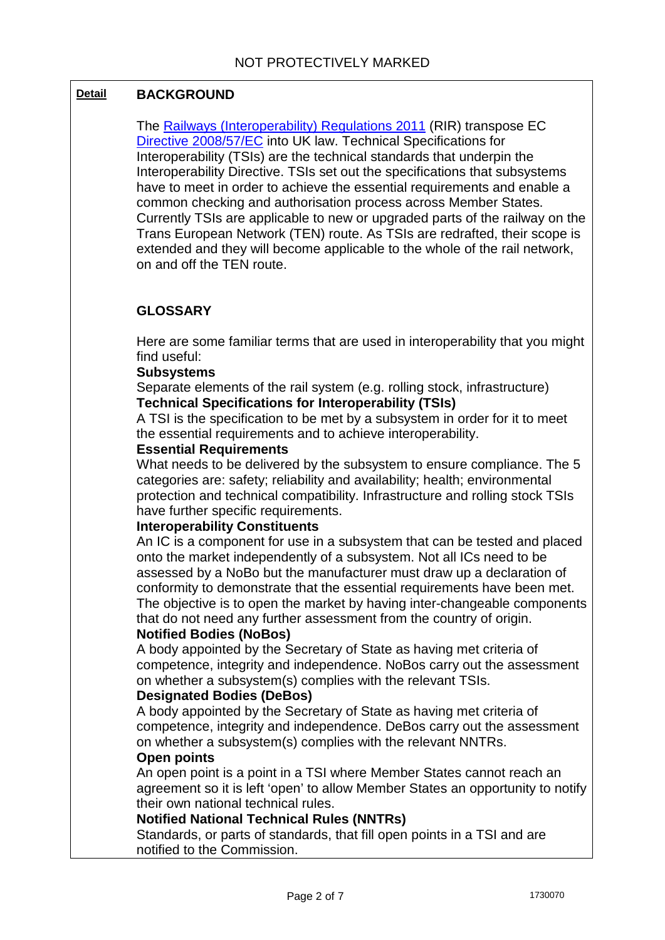# **Detail BACKGROUND**

The [Railways \(Interoperability\) Regulations 2011](http://www.legislation.gov.uk/uksi/2011/3066/contents/made) (RIR) transpose EC [Directive 2008/57/EC](http://www.google.co.uk/url?sa=t&rct=j&q=2008%2057%20ec%20directive&source=web&cd=1&ved=0CC8QFjAA&url=http%3A%2F%2Feur-lex.europa.eu%2FLexUriServ%2FLexUriServ.do%3Furi%3DOJ%3AL%3A2008%3A191%3A0001%3A0045%3AEN%3APDF&ei=tEdHUfy4Mci-O8jAgIAJ&usg=AFQjCNGgICa3bWbz7MmBNIog1CYFEmFz4w) into UK law. Technical Specifications for Interoperability (TSIs) are the technical standards that underpin the Interoperability Directive. TSIs set out the specifications that subsystems have to meet in order to achieve the essential requirements and enable a common checking and authorisation process across Member States. Currently TSIs are applicable to new or upgraded parts of the railway on the Trans European Network (TEN) route. As TSIs are redrafted, their scope is extended and they will become applicable to the whole of the rail network, on and off the TEN route.

# **GLOSSARY**

Here are some familiar terms that are used in interoperability that you might find useful:

### **Subsystems**

Separate elements of the rail system (e.g. rolling stock, infrastructure) **Technical Specifications for Interoperability (TSIs)**

A TSI is the specification to be met by a subsystem in order for it to meet the essential requirements and to achieve interoperability.

#### **Essential Requirements**

What needs to be delivered by the subsystem to ensure compliance. The 5 categories are: safety; reliability and availability; health; environmental protection and technical compatibility. Infrastructure and rolling stock TSIs have further specific requirements.

### **Interoperability Constituents**

An IC is a component for use in a subsystem that can be tested and placed onto the market independently of a subsystem. Not all ICs need to be assessed by a NoBo but the manufacturer must draw up a declaration of conformity to demonstrate that the essential requirements have been met. The objective is to open the market by having inter-changeable components that do not need any further assessment from the country of origin.

### **Notified Bodies (NoBos)**

A body appointed by the Secretary of State as having met criteria of competence, integrity and independence. NoBos carry out the assessment on whether a subsystem(s) complies with the relevant TSIs.

### **Designated Bodies (DeBos)**

A body appointed by the Secretary of State as having met criteria of competence, integrity and independence. DeBos carry out the assessment on whether a subsystem(s) complies with the relevant NNTRs. **Open points**

An open point is a point in a TSI where Member States cannot reach an agreement so it is left 'open' to allow Member States an opportunity to notify their own national technical rules.

### **Notified National Technical Rules (NNTRs)**

Standards, or parts of standards, that fill open points in a TSI and are notified to the Commission.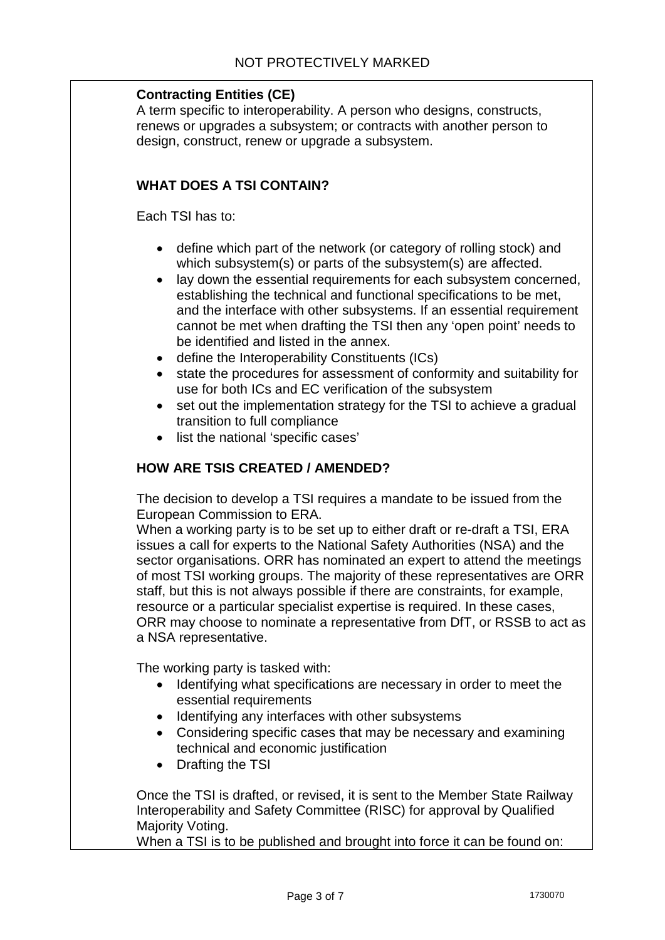## **Contracting Entities (CE)**

A term specific to interoperability. A person who designs, constructs, renews or upgrades a subsystem; or contracts with another person to design, construct, renew or upgrade a subsystem.

## **WHAT DOES A TSI CONTAIN?**

Each TSI has to:

- define which part of the network (or category of rolling stock) and which subsystem(s) or parts of the subsystem(s) are affected.
- lay down the essential requirements for each subsystem concerned, establishing the technical and functional specifications to be met, and the interface with other subsystems. If an essential requirement cannot be met when drafting the TSI then any 'open point' needs to be identified and listed in the annex.
- define the Interoperability Constituents (ICs)
- state the procedures for assessment of conformity and suitability for use for both ICs and EC verification of the subsystem
- set out the implementation strategy for the TSI to achieve a gradual transition to full compliance
- list the national 'specific cases'

# **HOW ARE TSIS CREATED / AMENDED?**

The decision to develop a TSI requires a mandate to be issued from the European Commission to ERA.

When a working party is to be set up to either draft or re-draft a TSI, ERA issues a call for experts to the National Safety Authorities (NSA) and the sector organisations. ORR has nominated an expert to attend the meetings of most TSI working groups. The majority of these representatives are ORR staff, but this is not always possible if there are constraints, for example, resource or a particular specialist expertise is required. In these cases, ORR may choose to nominate a representative from DfT, or RSSB to act as a NSA representative.

The working party is tasked with:

- Identifying what specifications are necessary in order to meet the essential requirements
- Identifying any interfaces with other subsystems
- Considering specific cases that may be necessary and examining technical and economic justification
- Drafting the TSI

Once the TSI is drafted, or revised, it is sent to the Member State Railway Interoperability and Safety Committee (RISC) for approval by Qualified Majority Voting.

When a TSI is to be published and brought into force it can be found on: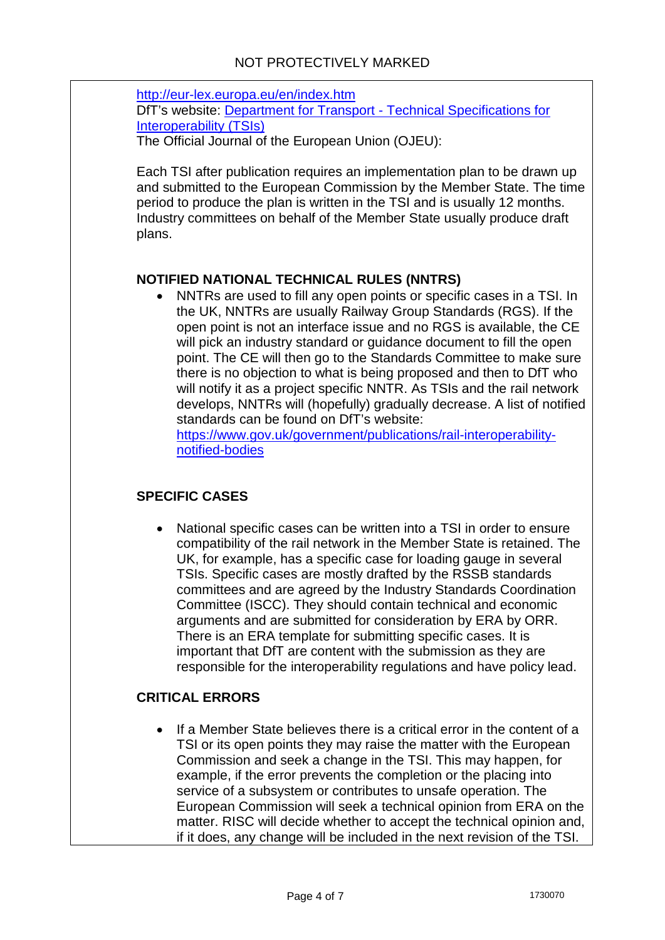<http://eur-lex.europa.eu/en/index.htm> DfT's website: Department for Transport - [Technical Specifications for](http://www.dft.gov.uk/pgr/rail/Interopandstandards/europeanstandardisation/technicalspecificationsforin1653/)  [Interoperability \(TSIs\)](http://www.dft.gov.uk/pgr/rail/Interopandstandards/europeanstandardisation/technicalspecificationsforin1653/)

The Official Journal of the European Union (OJEU):

Each TSI after publication requires an implementation plan to be drawn up and submitted to the European Commission by the Member State. The time period to produce the plan is written in the TSI and is usually 12 months. Industry committees on behalf of the Member State usually produce draft plans.

# **NOTIFIED NATIONAL TECHNICAL RULES (NNTRS)**

• NNTRs are used to fill any open points or specific cases in a TSI. In the UK, NNTRs are usually Railway Group Standards (RGS). If the open point is not an interface issue and no RGS is available, the CE will pick an industry standard or guidance document to fill the open point. The CE will then go to the Standards Committee to make sure there is no objection to what is being proposed and then to DfT who will notify it as a project specific NNTR. As TSIs and the rail network develops, NNTRs will (hopefully) gradually decrease. A list of notified standards can be found on DfT's website:

[https://www.gov.uk/government/publications/rail-interoperability](https://www.gov.uk/government/publications/rail-interoperability-notified-bodies)[notified-bodies](https://www.gov.uk/government/publications/rail-interoperability-notified-bodies)

# **SPECIFIC CASES**

• National specific cases can be written into a TSI in order to ensure compatibility of the rail network in the Member State is retained. The UK, for example, has a specific case for loading gauge in several TSIs. Specific cases are mostly drafted by the RSSB standards committees and are agreed by the Industry Standards Coordination Committee (ISCC). They should contain technical and economic arguments and are submitted for consideration by ERA by ORR. There is an ERA template for submitting specific cases. It is important that DfT are content with the submission as they are responsible for the interoperability regulations and have policy lead.

# **CRITICAL ERRORS**

• If a Member State believes there is a critical error in the content of a TSI or its open points they may raise the matter with the European Commission and seek a change in the TSI. This may happen, for example, if the error prevents the completion or the placing into service of a subsystem or contributes to unsafe operation. The European Commission will seek a technical opinion from ERA on the matter. RISC will decide whether to accept the technical opinion and, if it does, any change will be included in the next revision of the TSI.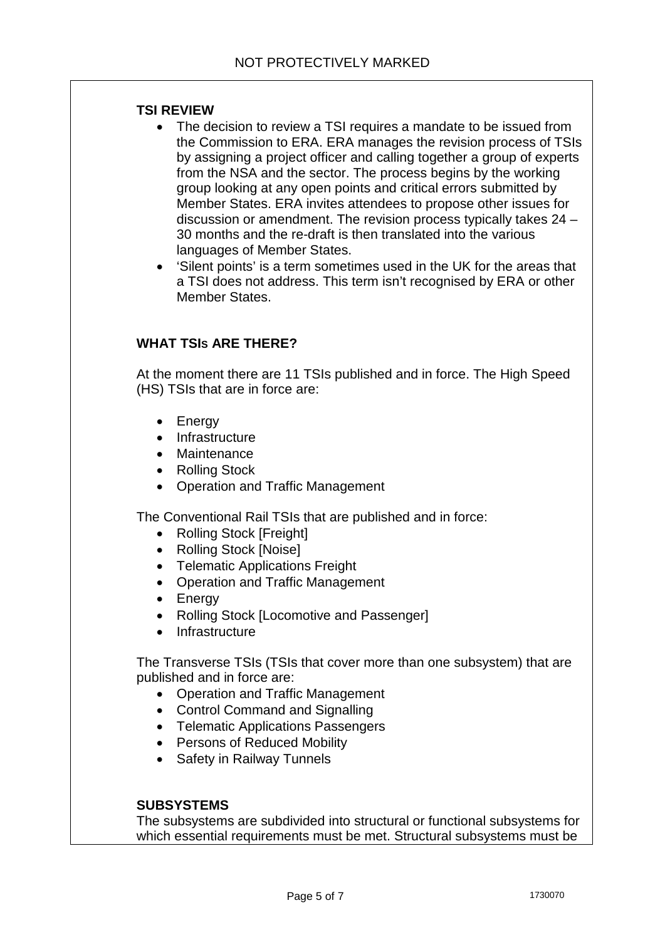## **TSI REVIEW**

- The decision to review a TSI requires a mandate to be issued from the Commission to ERA. ERA manages the revision process of TSIs by assigning a project officer and calling together a group of experts from the NSA and the sector. The process begins by the working group looking at any open points and critical errors submitted by Member States. ERA invites attendees to propose other issues for discussion or amendment. The revision process typically takes 24 – 30 months and the re-draft is then translated into the various languages of Member States.
- 'Silent points' is a term sometimes used in the UK for the areas that a TSI does not address. This term isn't recognised by ERA or other Member States.

## **WHAT TSIS ARE THERE?**

At the moment there are 11 TSIs published and in force. The High Speed (HS) TSIs that are in force are:

- Energy
- Infrastructure
- Maintenance
- Rolling Stock
- Operation and Traffic Management

The Conventional Rail TSIs that are published and in force:

- Rolling Stock [Freight]
- Rolling Stock [Noise]
- Telematic Applications Freight
- Operation and Traffic Management
- Energy
- Rolling Stock [Locomotive and Passenger]
- Infrastructure

The Transverse TSIs (TSIs that cover more than one subsystem) that are published and in force are:

- Operation and Traffic Management
- Control Command and Signalling
- Telematic Applications Passengers
- Persons of Reduced Mobility
- Safety in Railway Tunnels

### **SUBSYSTEMS**

The subsystems are subdivided into structural or functional subsystems for which essential requirements must be met. Structural subsystems must be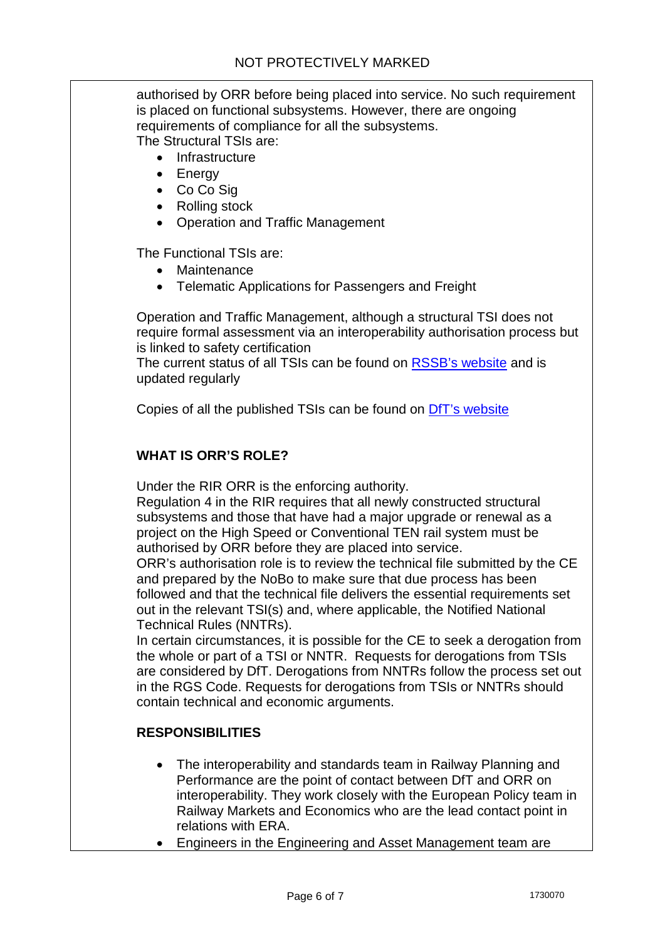authorised by ORR before being placed into service. No such requirement is placed on functional subsystems. However, there are ongoing requirements of compliance for all the subsystems. The Structural TSIs are:

**Infrastructure** 

- Energy
- Co Co Sig
- Rolling stock
- Operation and Traffic Management

The Functional TSIs are:

- Maintenance
- Telematic Applications for Passengers and Freight

Operation and Traffic Management, although a structural TSI does not require formal assessment via an interoperability authorisation process but is linked to safety certification

The current status of all TSIs can be found on [RSSB's website](http://www.google.co.uk/url?sa=t&rct=j&q=transverse%20tsis&source=web&cd=1&ved=0CC8QFjAA&url=http%3A%2F%2Fwww.rssb.co.uk%2FSiteCollectionDocuments%2Frgs%2FTSI_status_summary.pdf&ei=VDlIUevQBYexOeuagZAB&usg=AFQjCNFgfN3A7zsB3yDaC3KlScuO1Lxigg&bvm=bv.43828540,d.d2k) and is updated regularly

Copies of all the published TSIs can be found on [DfT's website](https://www.gov.uk/government/publications/catalogue-of-tsis)

## **WHAT IS ORR'S ROLE?**

Under the RIR ORR is the enforcing authority.

Regulation 4 in the RIR requires that all newly constructed structural subsystems and those that have had a major upgrade or renewal as a project on the High Speed or Conventional TEN rail system must be authorised by ORR before they are placed into service.

ORR's authorisation role is to review the technical file submitted by the CE and prepared by the NoBo to make sure that due process has been followed and that the technical file delivers the essential requirements set out in the relevant TSI(s) and, where applicable, the Notified National Technical Rules (NNTRs).

In certain circumstances, it is possible for the CE to seek a derogation from the whole or part of a TSI or NNTR. Requests for derogations from TSIs are considered by DfT. Derogations from NNTRs follow the process set out in the RGS Code. Requests for derogations from TSIs or NNTRs should contain technical and economic arguments.

## **RESPONSIBILITIES**

- The interoperability and standards team in Railway Planning and Performance are the point of contact between DfT and ORR on interoperability. They work closely with the European Policy team in Railway Markets and Economics who are the lead contact point in relations with ERA.
- Engineers in the Engineering and Asset Management team are